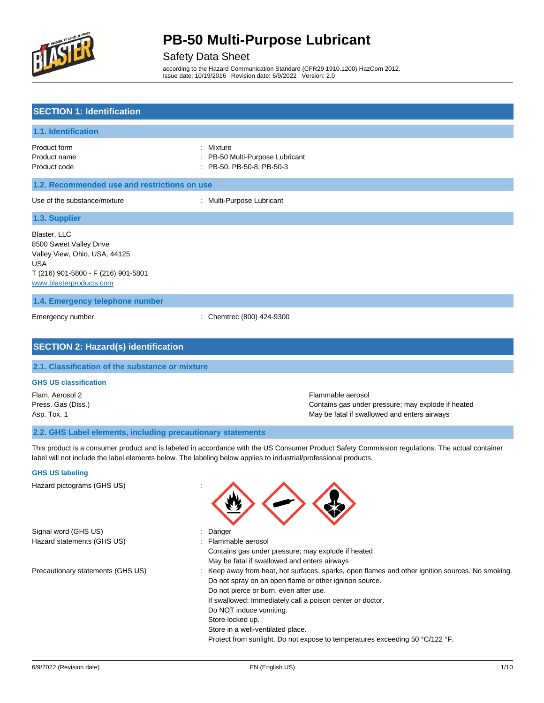

### Safety Data Sheet

according to the Hazard Communication Standard (CFR29 1910.1200) HazCom 2012. Issue date: 10/19/2016 Revision date: 6/9/2022 Version: 2.0

## **SECTION 1: Identification**

| 1.1. Identification                                                                                                                                      |                                                                           |
|----------------------------------------------------------------------------------------------------------------------------------------------------------|---------------------------------------------------------------------------|
| Product form<br>Product name<br>Product code                                                                                                             | : Mixture<br>: PB-50 Multi-Purpose Lubricant<br>: PB-50, PB-50-8, PB-50-3 |
| 1.2. Recommended use and restrictions on use                                                                                                             |                                                                           |
| Use of the substance/mixture                                                                                                                             | : Multi-Purpose Lubricant                                                 |
| 1.3. Supplier                                                                                                                                            |                                                                           |
| Blaster, LLC<br>8500 Sweet Valley Drive<br>Valley View, Ohio, USA, 44125<br><b>USA</b><br>T (216) 901-5800 - F (216) 901-5801<br>www.blasterproducts.com |                                                                           |
| 1.4. Emergency telephone number                                                                                                                          |                                                                           |

Emergency number : Chemtrec (800) 424-9300

## **SECTION 2: Hazard(s) identification**

#### **2.1. Classification of the substance or mixture**

#### **GHS US classification**

Flam. Aerosol 2 Flammable aerosol Press. Gas (Diss.) Contains gas under pressure; may explode if heated Asp. Tox. 1 May be fatal if swallowed and enters airways

#### **2.2. GHS Label elements, including precautionary statements**

This product is a consumer product and is labeled in accordance with the US Consumer Product Safety Commission regulations. The actual container label will not include the label elements below. The labeling below applies to industrial/professional products.

#### **GHS US labeling**

Hazard pictograms (GHS US) :

Signal word (GHS US) in the state of the Signal word (GHS US) in the state of the Signal word (GHS US) in the Signal word of the Signal word of the Signal word of the Signal word of the Signal word of the Signal word of th Hazard statements (GHS US) : Flammable aerosol



Contains gas under pressure; may explode if heated May be fatal if swallowed and enters airways

- Precautionary statements (GHS US) : Keep away from heat, hot surfaces, sparks, open flames and other ignition sources. No smoking. Do not spray on an open flame or other ignition source.
	- Do not pierce or burn, even after use.
	- If swallowed: Immediately call a poison center or doctor.
	- Do NOT induce vomiting.
	- Store locked up.
	- Store in a well-ventilated place.

Protect from sunlight. Do not expose to temperatures exceeding 50 °C/122 °F.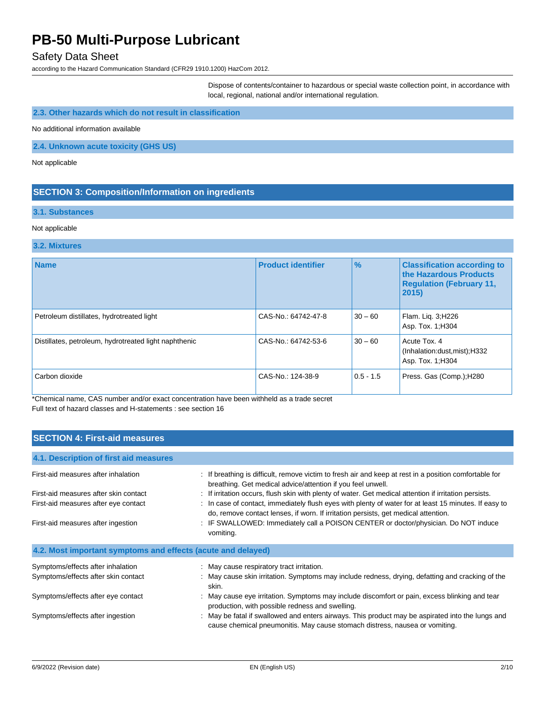## Safety Data Sheet

according to the Hazard Communication Standard (CFR29 1910.1200) HazCom 2012.

Dispose of contents/container to hazardous or special waste collection point, in accordance with local, regional, national and/or international regulation.

## **2.3. Other hazards which do not result in classification**

No additional information available

**2.4. Unknown acute toxicity (GHS US)**

Not applicable

## **SECTION 3: Composition/Information on ingredients**

### **3.1. Substances**

#### Not applicable

### **3.2. Mixtures**

| <b>Name</b>                                           | <b>Product identifier</b> | $\frac{9}{6}$ | <b>Classification according to</b><br>the Hazardous Products<br><b>Regulation (February 11,</b><br>$ 2015\rangle$ |
|-------------------------------------------------------|---------------------------|---------------|-------------------------------------------------------------------------------------------------------------------|
| Petroleum distillates, hydrotreated light             | CAS-No.: 64742-47-8       | $30 - 60$     | Flam. Lig. 3;H226<br>Asp. Tox. 1; H304                                                                            |
| Distillates, petroleum, hydrotreated light naphthenic | CAS-No.: 64742-53-6       | $30 - 60$     | Acute Tox, 4<br>(Inhalation:dust, mist); H332<br>Asp. Tox. 1; H304                                                |
| Carbon dioxide                                        | CAS-No.: 124-38-9         | $0.5 - 1.5$   | Press. Gas (Comp.); H280                                                                                          |

\*Chemical name, CAS number and/or exact concentration have been withheld as a trade secret Full text of hazard classes and H-statements : see section 16

| <b>SECTION 4: First-aid measures</b>                         |                                                                                                                                                                                           |  |  |
|--------------------------------------------------------------|-------------------------------------------------------------------------------------------------------------------------------------------------------------------------------------------|--|--|
|                                                              |                                                                                                                                                                                           |  |  |
| 4.1. Description of first aid measures                       |                                                                                                                                                                                           |  |  |
| First-aid measures after inhalation                          | : If breathing is difficult, remove victim to fresh air and keep at rest in a position comfortable for<br>breathing. Get medical advice/attention if you feel unwell.                     |  |  |
| First-aid measures after skin contact                        | If irritation occurs, flush skin with plenty of water. Get medical attention if irritation persists.                                                                                      |  |  |
| First-aid measures after eye contact                         | In case of contact, immediately flush eyes with plenty of water for at least 15 minutes. If easy to<br>do, remove contact lenses, if worn. If irritation persists, get medical attention. |  |  |
| First-aid measures after ingestion                           | IF SWALLOWED: Immediately call a POISON CENTER or doctor/physician. Do NOT induce<br>vomiting.                                                                                            |  |  |
| 4.2. Most important symptoms and effects (acute and delayed) |                                                                                                                                                                                           |  |  |
| Symptoms/effects after inhalation                            | : May cause respiratory tract irritation.                                                                                                                                                 |  |  |
| Symptoms/effects after skin contact                          | May cause skin irritation. Symptoms may include redness, drying, defatting and cracking of the<br>skin.                                                                                   |  |  |
| Symptoms/effects after eye contact                           | May cause eye irritation. Symptoms may include discomfort or pain, excess blinking and tear<br>production, with possible redness and swelling.                                            |  |  |
| Symptoms/effects after ingestion                             | : May be fatal if swallowed and enters airways. This product may be aspirated into the lungs and<br>cause chemical pneumonitis. May cause stomach distress, nausea or vomiting.           |  |  |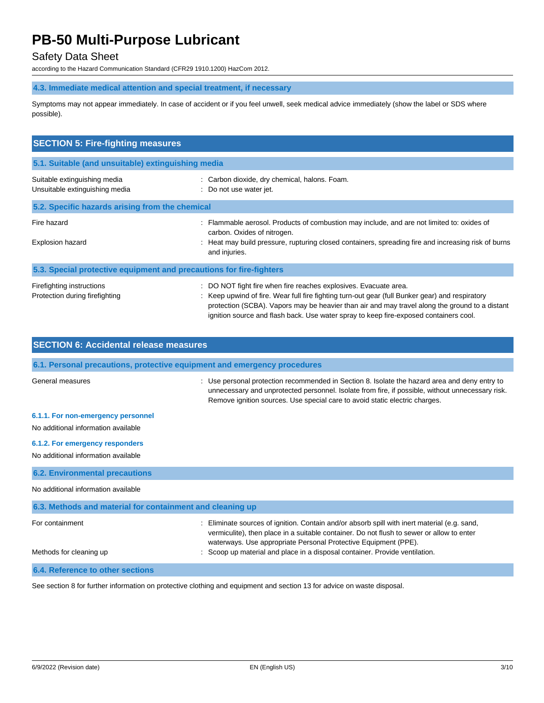## Safety Data Sheet

according to the Hazard Communication Standard (CFR29 1910.1200) HazCom 2012.

## **4.3. Immediate medical attention and special treatment, if necessary**

Symptoms may not appear immediately. In case of accident or if you feel unwell, seek medical advice immediately (show the label or SDS where possible).

| <b>SECTION 5: Fire-fighting measures</b>                            |                                                                                                                                                                                                                                                                                                                                                              |  |  |  |
|---------------------------------------------------------------------|--------------------------------------------------------------------------------------------------------------------------------------------------------------------------------------------------------------------------------------------------------------------------------------------------------------------------------------------------------------|--|--|--|
| 5.1. Suitable (and unsuitable) extinguishing media                  |                                                                                                                                                                                                                                                                                                                                                              |  |  |  |
| Suitable extinguishing media<br>Unsuitable extinguishing media      | : Carbon dioxide, dry chemical, halons. Foam.<br>Do not use water jet.                                                                                                                                                                                                                                                                                       |  |  |  |
| 5.2. Specific hazards arising from the chemical                     |                                                                                                                                                                                                                                                                                                                                                              |  |  |  |
| Fire hazard<br>Explosion hazard                                     | Flammable aerosol. Products of combustion may include, and are not limited to: oxides of<br>carbon. Oxides of nitrogen.<br>Heat may build pressure, rupturing closed containers, spreading fire and increasing risk of burns<br>and injuries.                                                                                                                |  |  |  |
| 5.3. Special protective equipment and precautions for fire-fighters |                                                                                                                                                                                                                                                                                                                                                              |  |  |  |
| Firefighting instructions<br>Protection during firefighting         | : DO NOT fight fire when fire reaches explosives. Evacuate area.<br>Keep upwind of fire. Wear full fire fighting turn-out gear (full Bunker gear) and respiratory<br>protection (SCBA). Vapors may be heavier than air and may travel along the ground to a distant<br>ignition source and flash back. Use water spray to keep fire-exposed containers cool. |  |  |  |

| <b>SECTION 6: Accidental release measures</b>                            |                                                                                                                                                                                                                                                                                  |  |  |
|--------------------------------------------------------------------------|----------------------------------------------------------------------------------------------------------------------------------------------------------------------------------------------------------------------------------------------------------------------------------|--|--|
| 6.1. Personal precautions, protective equipment and emergency procedures |                                                                                                                                                                                                                                                                                  |  |  |
| General measures                                                         | : Use personal protection recommended in Section 8. Isolate the hazard area and deny entry to<br>unnecessary and unprotected personnel. Isolate from fire, if possible, without unnecessary risk.<br>Remove ignition sources. Use special care to avoid static electric charges. |  |  |
| 6.1.1. For non-emergency personnel                                       |                                                                                                                                                                                                                                                                                  |  |  |
| No additional information available                                      |                                                                                                                                                                                                                                                                                  |  |  |
| 6.1.2. For emergency responders                                          |                                                                                                                                                                                                                                                                                  |  |  |
| No additional information available                                      |                                                                                                                                                                                                                                                                                  |  |  |
| <b>6.2. Environmental precautions</b>                                    |                                                                                                                                                                                                                                                                                  |  |  |
| No additional information available                                      |                                                                                                                                                                                                                                                                                  |  |  |
| 6.3. Methods and material for containment and cleaning up                |                                                                                                                                                                                                                                                                                  |  |  |
| For containment                                                          | Eliminate sources of ignition. Contain and/or absorb spill with inert material (e.g. sand,<br>vermiculite), then place in a suitable container. Do not flush to sewer or allow to enter<br>waterways. Use appropriate Personal Protective Equipment (PPE).                       |  |  |
| Methods for cleaning up                                                  | Scoop up material and place in a disposal container. Provide ventilation.                                                                                                                                                                                                        |  |  |
| 6.4. Reference to other sections                                         |                                                                                                                                                                                                                                                                                  |  |  |

See section 8 for further information on protective clothing and equipment and section 13 for advice on waste disposal.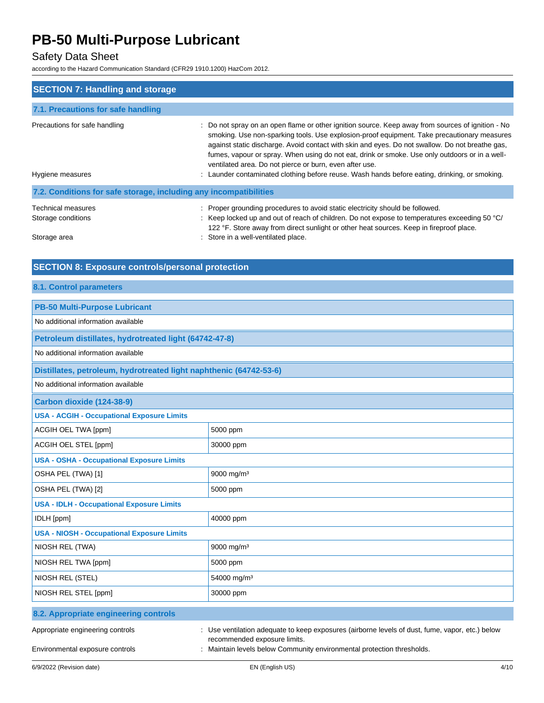## Safety Data Sheet

according to the Hazard Communication Standard (CFR29 1910.1200) HazCom 2012.

| <b>SECTION 7: Handling and storage</b>                            |                                                                                                                                                                                                                                                                                                                                                                                                                                                                                                                                                                   |  |
|-------------------------------------------------------------------|-------------------------------------------------------------------------------------------------------------------------------------------------------------------------------------------------------------------------------------------------------------------------------------------------------------------------------------------------------------------------------------------------------------------------------------------------------------------------------------------------------------------------------------------------------------------|--|
| 7.1. Precautions for safe handling                                |                                                                                                                                                                                                                                                                                                                                                                                                                                                                                                                                                                   |  |
| Precautions for safe handling<br>Hygiene measures                 | : Do not spray on an open flame or other ignition source. Keep away from sources of ignition - No<br>smoking. Use non-sparking tools. Use explosion-proof equipment. Take precautionary measures<br>against static discharge. Avoid contact with skin and eyes. Do not swallow. Do not breathe gas,<br>fumes, vapour or spray. When using do not eat, drink or smoke. Use only outdoors or in a well-<br>ventilated area. Do not pierce or burn, even after use.<br>: Launder contaminated clothing before reuse. Wash hands before eating, drinking, or smoking. |  |
| 7.2. Conditions for safe storage, including any incompatibilities |                                                                                                                                                                                                                                                                                                                                                                                                                                                                                                                                                                   |  |
| Technical measures<br>Storage conditions                          | : Proper grounding procedures to avoid static electricity should be followed.<br>Keep locked up and out of reach of children. Do not expose to temperatures exceeding 50 °C/<br>122 °F. Store away from direct sunlight or other heat sources. Keep in fireproof place.                                                                                                                                                                                                                                                                                           |  |
| Storage area                                                      | Store in a well-ventilated place.                                                                                                                                                                                                                                                                                                                                                                                                                                                                                                                                 |  |

## **SECTION 8: Exposure controls/personal protection**

## **8.1. Control parameters**

| <b>PB-50 Multi-Purpose Lubricant</b>                               |                                                                                                                                 |  |  |
|--------------------------------------------------------------------|---------------------------------------------------------------------------------------------------------------------------------|--|--|
| No additional information available                                |                                                                                                                                 |  |  |
| Petroleum distillates, hydrotreated light (64742-47-8)             |                                                                                                                                 |  |  |
| No additional information available                                |                                                                                                                                 |  |  |
| Distillates, petroleum, hydrotreated light naphthenic (64742-53-6) |                                                                                                                                 |  |  |
| No additional information available                                |                                                                                                                                 |  |  |
| Carbon dioxide (124-38-9)                                          |                                                                                                                                 |  |  |
| <b>USA - ACGIH - Occupational Exposure Limits</b>                  |                                                                                                                                 |  |  |
| ACGIH OEL TWA [ppm]                                                | 5000 ppm                                                                                                                        |  |  |
| ACGIH OEL STEL [ppm]                                               | 30000 ppm                                                                                                                       |  |  |
| <b>USA - OSHA - Occupational Exposure Limits</b>                   |                                                                                                                                 |  |  |
| OSHA PEL (TWA) [1]                                                 | 9000 mg/m <sup>3</sup>                                                                                                          |  |  |
| OSHA PEL (TWA) [2]                                                 | 5000 ppm                                                                                                                        |  |  |
| <b>USA - IDLH - Occupational Exposure Limits</b>                   |                                                                                                                                 |  |  |
| IDLH [ppm]                                                         | 40000 ppm                                                                                                                       |  |  |
| <b>USA - NIOSH - Occupational Exposure Limits</b>                  |                                                                                                                                 |  |  |
| NIOSH REL (TWA)                                                    | 9000 mg/m <sup>3</sup>                                                                                                          |  |  |
| NIOSH REL TWA [ppm]                                                | 5000 ppm                                                                                                                        |  |  |
| NIOSH REL (STEL)                                                   | 54000 mg/m <sup>3</sup>                                                                                                         |  |  |
| NIOSH REL STEL [ppm]                                               | 30000 ppm                                                                                                                       |  |  |
| 8.2. Appropriate engineering controls                              |                                                                                                                                 |  |  |
| Appropriate engineering controls                                   | : Use ventilation adequate to keep exposures (airborne levels of dust, fume, vapor, etc.) below<br>recommended exposure limits. |  |  |
| Environmental exposure controls                                    | : Maintain levels below Community environmental protection thresholds.                                                          |  |  |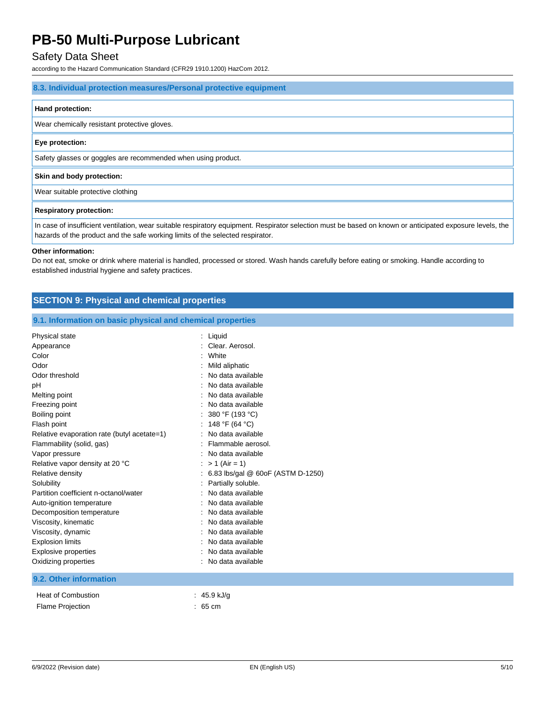## Safety Data Sheet

according to the Hazard Communication Standard (CFR29 1910.1200) HazCom 2012.

#### **8.3. Individual protection measures/Personal protective equipment**

#### **Hand protection:**

Wear chemically resistant protective gloves.

#### **Eye protection:**

Safety glasses or goggles are recommended when using product.

#### **Skin and body protection:**

Wear suitable protective clothing

#### **Respiratory protection:**

In case of insufficient ventilation, wear suitable respiratory equipment. Respirator selection must be based on known or anticipated exposure levels, the hazards of the product and the safe working limits of the selected respirator.

#### **Other information:**

Do not eat, smoke or drink where material is handled, processed or stored. Wash hands carefully before eating or smoking. Handle according to established industrial hygiene and safety practices.

### **SECTION 9: Physical and chemical properties**

#### **9.1. Information on basic physical and chemical properties**

| Physical state                              | : Liquid                          |
|---------------------------------------------|-----------------------------------|
| Appearance                                  | Clear, Aerosol.                   |
| Color                                       | White                             |
| Odor                                        | Mild aliphatic                    |
| Odor threshold                              | No data available                 |
| рH                                          | No data available                 |
| Melting point                               | No data available                 |
| Freezing point                              | No data available                 |
| Boiling point                               | 380 °F (193 °C)                   |
| Flash point                                 | 148 °F (64 °C)                    |
| Relative evaporation rate (butyl acetate=1) | No data available                 |
| Flammability (solid, gas)                   | Flammable aerosol.                |
| Vapor pressure                              | No data available                 |
| Relative vapor density at 20 °C             | $> 1$ (Air = 1)                   |
| Relative density                            | 6.83 lbs/gal @ 60oF (ASTM D-1250) |
| Solubility                                  | Partially soluble.                |
| Partition coefficient n-octanol/water       | No data available                 |
| Auto-ignition temperature                   | No data available                 |
| Decomposition temperature                   | No data available                 |
| Viscosity, kinematic                        | : No data available               |
| Viscosity, dynamic                          | No data available                 |
| <b>Explosion limits</b>                     | No data available                 |
| Explosive properties                        | No data available                 |
| Oxidizing properties                        | No data available                 |
|                                             |                                   |

#### **9.2. Other information**

| Heat of Combustion | : 45.9 kJ/g       |
|--------------------|-------------------|
| Flame Projection   | $: 65 \text{ cm}$ |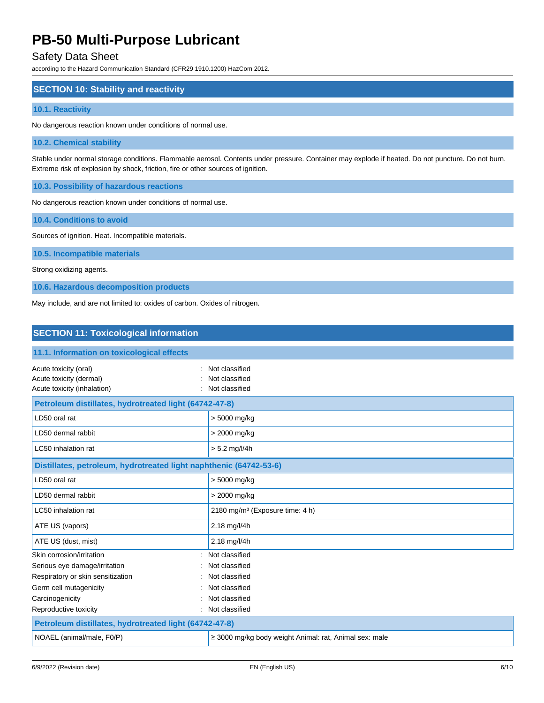## Safety Data Sheet

according to the Hazard Communication Standard (CFR29 1910.1200) HazCom 2012.

### **SECTION 10: Stability and reactivity**

### **10.1. Reactivity**

No dangerous reaction known under conditions of normal use.

#### **10.2. Chemical stability**

Stable under normal storage conditions. Flammable aerosol. Contents under pressure. Container may explode if heated. Do not puncture. Do not burn. Extreme risk of explosion by shock, friction, fire or other sources of ignition.

**10.3. Possibility of hazardous reactions**

No dangerous reaction known under conditions of normal use.

**10.4. Conditions to avoid**

Sources of ignition. Heat. Incompatible materials.

**10.5. Incompatible materials**

Strong oxidizing agents.

**10.6. Hazardous decomposition products**

May include, and are not limited to: oxides of carbon. Oxides of nitrogen.

## **SECTION 11: Toxicological information**

| 11.1. Information on toxicological effects                                      |                                                             |  |
|---------------------------------------------------------------------------------|-------------------------------------------------------------|--|
| Acute toxicity (oral)<br>Acute toxicity (dermal)<br>Acute toxicity (inhalation) | Not classified<br>Not classified<br>Not classified          |  |
| Petroleum distillates, hydrotreated light (64742-47-8)                          |                                                             |  |
| LD50 oral rat                                                                   | > 5000 mg/kg                                                |  |
| LD50 dermal rabbit                                                              | > 2000 mg/kg                                                |  |
| LC50 inhalation rat                                                             | $> 5.2$ mg/l/4h                                             |  |
| Distillates, petroleum, hydrotreated light naphthenic (64742-53-6)              |                                                             |  |
| LD50 oral rat                                                                   | > 5000 mg/kg                                                |  |
| LD50 dermal rabbit                                                              | > 2000 mg/kg                                                |  |
| LC50 inhalation rat                                                             | 2180 mg/m <sup>3</sup> (Exposure time: 4 h)                 |  |
| ATE US (vapors)                                                                 | 2.18 mg/l/4h                                                |  |
| ATE US (dust, mist)                                                             | 2.18 mg/l/4h                                                |  |
| Skin corrosion/irritation                                                       | Not classified                                              |  |
| Serious eye damage/irritation                                                   | Not classified                                              |  |
| Respiratory or skin sensitization                                               | Not classified                                              |  |
| Germ cell mutagenicity                                                          | Not classified                                              |  |
| Carcinogenicity                                                                 | Not classified                                              |  |
| Reproductive toxicity                                                           | Not classified                                              |  |
| Petroleum distillates, hydrotreated light (64742-47-8)                          |                                                             |  |
| NOAEL (animal/male, F0/P)                                                       | $\geq$ 3000 mg/kg body weight Animal: rat, Animal sex: male |  |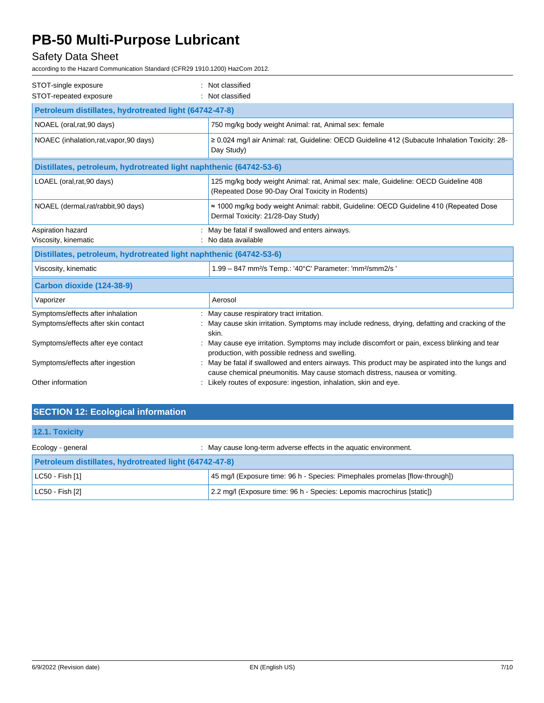## Safety Data Sheet

according to the Hazard Communication Standard (CFR29 1910.1200) HazCom 2012.

| STOT-single exposure                                                     | Not classified                                                                                                                                                                |  |  |
|--------------------------------------------------------------------------|-------------------------------------------------------------------------------------------------------------------------------------------------------------------------------|--|--|
| STOT-repeated exposure                                                   | Not classified                                                                                                                                                                |  |  |
| Petroleum distillates, hydrotreated light (64742-47-8)                   |                                                                                                                                                                               |  |  |
| NOAEL (oral, rat, 90 days)                                               | 750 mg/kg body weight Animal: rat, Animal sex: female                                                                                                                         |  |  |
| NOAEC (inhalation,rat,vapor,90 days)                                     | ≥ 0.024 mg/l air Animal: rat, Guideline: OECD Guideline 412 (Subacute Inhalation Toxicity: 28-<br>Day Study)                                                                  |  |  |
| Distillates, petroleum, hydrotreated light naphthenic (64742-53-6)       |                                                                                                                                                                               |  |  |
| LOAEL (oral, rat, 90 days)                                               | 125 mg/kg body weight Animal: rat, Animal sex: male, Guideline: OECD Guideline 408<br>(Repeated Dose 90-Day Oral Toxicity in Rodents)                                         |  |  |
| NOAEL (dermal,rat/rabbit,90 days)                                        | ≈ 1000 mg/kg body weight Animal: rabbit, Guideline: OECD Guideline 410 (Repeated Dose<br>Dermal Toxicity: 21/28-Day Study)                                                    |  |  |
| Aspiration hazard<br>Viscosity, kinematic                                | May be fatal if swallowed and enters airways.<br>No data available                                                                                                            |  |  |
| Distillates, petroleum, hydrotreated light naphthenic (64742-53-6)       |                                                                                                                                                                               |  |  |
| Viscosity, kinematic                                                     | 1.99 - 847 mm <sup>2</sup> /s Temp.: '40°C' Parameter: 'mm <sup>2</sup> /smm2/s '                                                                                             |  |  |
| Carbon dioxide (124-38-9)                                                |                                                                                                                                                                               |  |  |
| Vaporizer                                                                | Aerosol                                                                                                                                                                       |  |  |
| Symptoms/effects after inhalation<br>Symptoms/effects after skin contact | May cause respiratory tract irritation.<br>May cause skin irritation. Symptoms may include redness, drying, defatting and cracking of the<br>skin.                            |  |  |
| Symptoms/effects after eye contact                                       | May cause eye irritation. Symptoms may include discomfort or pain, excess blinking and tear<br>production, with possible redness and swelling.                                |  |  |
| Symptoms/effects after ingestion                                         | May be fatal if swallowed and enters airways. This product may be aspirated into the lungs and<br>cause chemical pneumonitis. May cause stomach distress, nausea or vomiting. |  |  |
| Other information                                                        | : Likely routes of exposure: ingestion, inhalation, skin and eye.                                                                                                             |  |  |

## **SECTION 12: Ecological information**

| <b>12.1. Toxicity</b>                                  |                                                                             |  |
|--------------------------------------------------------|-----------------------------------------------------------------------------|--|
| Ecology - general                                      | May cause long-term adverse effects in the aquatic environment.             |  |
| Petroleum distillates, hydrotreated light (64742-47-8) |                                                                             |  |
| $ $ LC50 - Fish [1]                                    | 45 mg/l (Exposure time: 96 h - Species: Pimephales promelas [flow-through]) |  |
| LC50 - Fish [2]                                        | 2.2 mg/l (Exposure time: 96 h - Species: Lepomis macrochirus [static])      |  |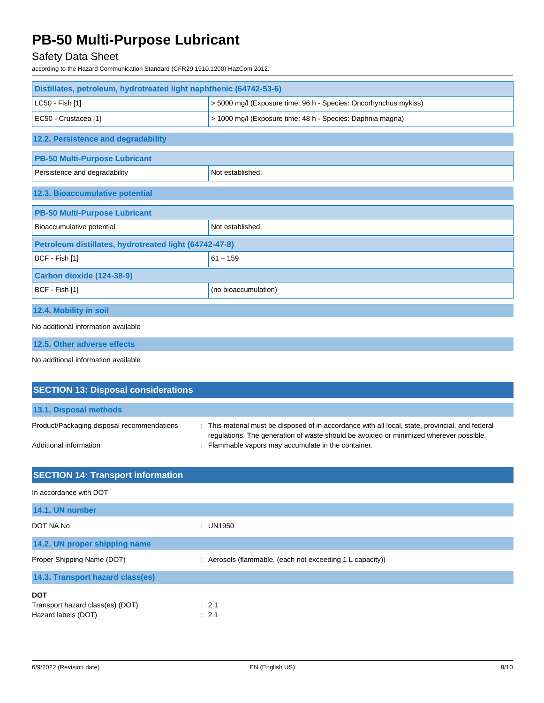## Safety Data Sheet

according to the Hazard Communication Standard (CFR29 1910.1200) HazCom 2012.

| Distillates, petroleum, hydrotreated light naphthenic (64742-53-6) |                                                                  |
|--------------------------------------------------------------------|------------------------------------------------------------------|
| LC50 - Fish [1]                                                    | > 5000 mg/l (Exposure time: 96 h - Species: Oncorhynchus mykiss) |
| EC50 - Crustacea [1]                                               | > 1000 mg/l (Exposure time: 48 h - Species: Daphnia magna)       |
| 12.2. Persistence and degradability                                |                                                                  |
| <b>PB-50 Multi-Purpose Lubricant</b>                               |                                                                  |
| Persistence and degradability                                      | Not established.                                                 |
| 12.3. Bioaccumulative potential                                    |                                                                  |
| <b>PB-50 Multi-Purpose Lubricant</b>                               |                                                                  |
| Bioaccumulative potential                                          | Not established.                                                 |
| Petroleum distillates, hydrotreated light (64742-47-8)             |                                                                  |
| BCF - Fish [1]                                                     | $61 - 159$                                                       |
| Carbon dioxide (124-38-9)                                          |                                                                  |
| BCF - Fish [1]                                                     | (no bioaccumulation)                                             |
| 12.4. Mobility in soil                                             |                                                                  |
| No additional information available                                |                                                                  |

**12.5. Other adverse effects**

No additional information available

| <b>SECTION 13: Disposal considerations</b> |                                                                                                                                                                                            |
|--------------------------------------------|--------------------------------------------------------------------------------------------------------------------------------------------------------------------------------------------|
| 13.1. Disposal methods                     |                                                                                                                                                                                            |
| Product/Packaging disposal recommendations | : This material must be disposed of in accordance with all local, state, provincial, and federal<br>regulations. The generation of waste should be avoided or minimized wherever possible. |
| Additional information                     | : Flammable vapors may accumulate in the container.                                                                                                                                        |

| <b>SECTION 14: Transport information</b>                              |                                                                      |
|-----------------------------------------------------------------------|----------------------------------------------------------------------|
| In accordance with DOT                                                |                                                                      |
| 14.1. UN number                                                       |                                                                      |
| DOT NA No                                                             | : UN1950                                                             |
| 14.2. UN proper shipping name                                         |                                                                      |
| Proper Shipping Name (DOT)                                            | : Aerosols (flammable, (each not exceeding $1 \mathsf{L}$ capacity)) |
| 14.3. Transport hazard class(es)                                      |                                                                      |
| <b>DOT</b><br>Transport hazard class(es) (DOT)<br>Hazard labels (DOT) | $\therefore$ 2.1<br>$\therefore$ 2.1                                 |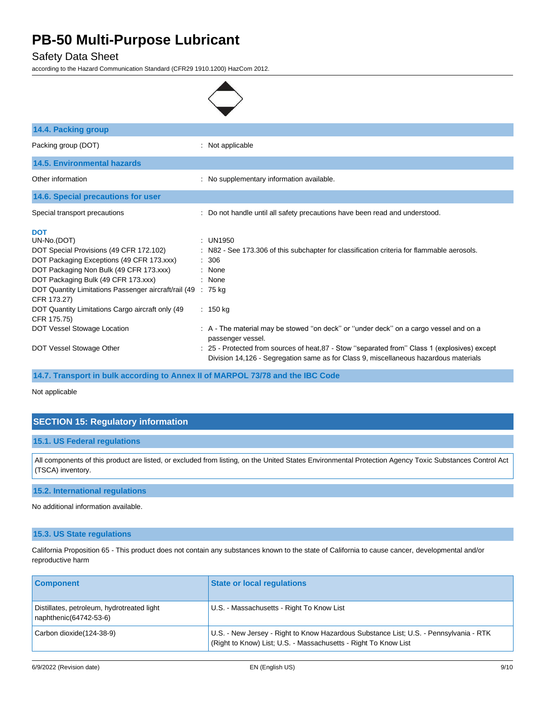## Safety Data Sheet

according to the Hazard Communication Standard (CFR29 1910.1200) HazCom 2012.

| 14.4. Packing group                                                                                                                                                                                                                                                                                                                                                                   |                                                                                                                                                                                                                                                                         |
|---------------------------------------------------------------------------------------------------------------------------------------------------------------------------------------------------------------------------------------------------------------------------------------------------------------------------------------------------------------------------------------|-------------------------------------------------------------------------------------------------------------------------------------------------------------------------------------------------------------------------------------------------------------------------|
| Packing group (DOT)                                                                                                                                                                                                                                                                                                                                                                   | : Not applicable                                                                                                                                                                                                                                                        |
| <b>14.5. Environmental hazards</b>                                                                                                                                                                                                                                                                                                                                                    |                                                                                                                                                                                                                                                                         |
| Other information                                                                                                                                                                                                                                                                                                                                                                     | : No supplementary information available.                                                                                                                                                                                                                               |
| 14.6. Special precautions for user                                                                                                                                                                                                                                                                                                                                                    |                                                                                                                                                                                                                                                                         |
| Special transport precautions                                                                                                                                                                                                                                                                                                                                                         | : Do not handle until all safety precautions have been read and understood.                                                                                                                                                                                             |
| <b>DOT</b><br>UN-No.(DOT)<br>DOT Special Provisions (49 CFR 172.102)<br>DOT Packaging Exceptions (49 CFR 173.xxx)<br>DOT Packaging Non Bulk (49 CFR 173.xxx)<br>DOT Packaging Bulk (49 CFR 173.xxx)<br>DOT Quantity Limitations Passenger aircraft/rail (49 : 75 kg)<br>CFR 173.27)<br>DOT Quantity Limitations Cargo aircraft only (49<br>CFR 175.75)<br>DOT Vessel Stowage Location | : UN1950<br>: N82 - See 173.306 of this subchapter for classification criteria for flammable aerosols.<br>: 306<br>: None<br>: None<br>: $150 \text{ kg}$<br>: A - The material may be stowed "on deck" or "under deck" on a cargo vessel and on a<br>passenger vessel. |
| DOT Vessel Stowage Other                                                                                                                                                                                                                                                                                                                                                              | : 25 - Protected from sources of heat, 87 - Stow "separated from" Class 1 (explosives) except<br>Division 14,126 - Segregation same as for Class 9, miscellaneous hazardous materials                                                                                   |

 $\overline{a}$ 

## **14.7. Transport in bulk according to Annex II of MARPOL 73/78 and the IBC Code**

Not applicable

## **SECTION 15: Regulatory information**

### **15.1. US Federal regulations**

All components of this product are listed, or excluded from listing, on the United States Environmental Protection Agency Toxic Substances Control Act (TSCA) inventory.

#### **15.2. International regulations**

No additional information available.

## **15.3. US State regulations**

California Proposition 65 - This product does not contain any substances known to the state of California to cause cancer, developmental and/or reproductive harm

| <b>Component</b>                                                       | <b>State or local regulations</b>                                                                                                                        |
|------------------------------------------------------------------------|----------------------------------------------------------------------------------------------------------------------------------------------------------|
| Distillates, petroleum, hydrotreated light<br>$naphthenic(64742-53-6)$ | U.S. - Massachusetts - Right To Know List                                                                                                                |
| $\vert$ Carbon dioxide(124-38-9)                                       | U.S. - New Jersey - Right to Know Hazardous Substance List; U.S. - Pennsylvania - RTK<br>(Right to Know) List; U.S. - Massachusetts - Right To Know List |